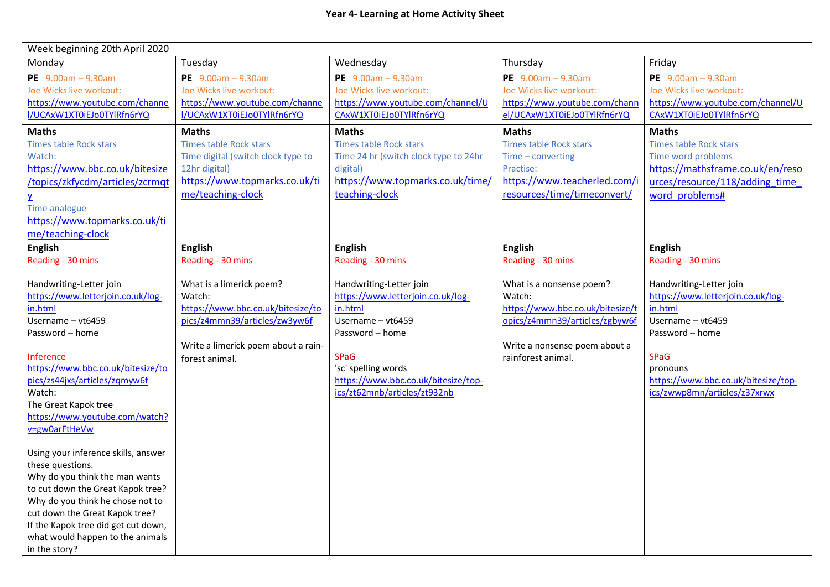| Week beginning 20th April 2020                                                                                                                                                                                                                                                                                                                                                                                                                                                                                                                                                              |                                                                                                                                                                   |                                                                                                                                                                                                                              |                                                                                                                                                                 |                                                                                                                                                                                                                   |
|---------------------------------------------------------------------------------------------------------------------------------------------------------------------------------------------------------------------------------------------------------------------------------------------------------------------------------------------------------------------------------------------------------------------------------------------------------------------------------------------------------------------------------------------------------------------------------------------|-------------------------------------------------------------------------------------------------------------------------------------------------------------------|------------------------------------------------------------------------------------------------------------------------------------------------------------------------------------------------------------------------------|-----------------------------------------------------------------------------------------------------------------------------------------------------------------|-------------------------------------------------------------------------------------------------------------------------------------------------------------------------------------------------------------------|
| Monday                                                                                                                                                                                                                                                                                                                                                                                                                                                                                                                                                                                      | Tuesday                                                                                                                                                           | Wednesday                                                                                                                                                                                                                    | Thursday                                                                                                                                                        | Friday                                                                                                                                                                                                            |
| PE $9.00am - 9.30am$<br>Joe Wicks live workout:<br>https://www.youtube.com/channe<br>I/UCAxW1XT0iEJo0TYlRfn6rYQ                                                                                                                                                                                                                                                                                                                                                                                                                                                                             | PE $9.00am - 9.30am$<br>Joe Wicks live workout:<br>https://www.youtube.com/channe<br>I/UCAxW1XT0iEJo0TYlRfn6rYQ                                                   | PE $9.00am - 9.30am$<br>Joe Wicks live workout:<br>https://www.youtube.com/channel/U<br>CAxW1XT0iEJo0TYlRfn6rYQ                                                                                                              | PE $9.00am - 9.30am$<br>Joe Wicks live workout:<br>https://www.youtube.com/chann<br>el/UCAxW1XT0iEJo0TYlRfn6rYQ                                                 | PE $9.00am - 9.30am$<br>Joe Wicks live workout:<br>https://www.youtube.com/channel/U<br>CAxW1XT0iEJo0TYlRfn6rYQ                                                                                                   |
| <b>Maths</b><br><b>Times table Rock stars</b><br>Watch:<br>https://www.bbc.co.uk/bitesize<br>/topics/zkfycdm/articles/zcrmqt<br>Y                                                                                                                                                                                                                                                                                                                                                                                                                                                           | <b>Maths</b><br><b>Times table Rock stars</b><br>Time digital (switch clock type to<br>12hr digital)<br>https://www.topmarks.co.uk/ti<br>me/teaching-clock        | <b>Maths</b><br><b>Times table Rock stars</b><br>Time 24 hr (switch clock type to 24hr<br>digital)<br>https://www.topmarks.co.uk/time/<br>teaching-clock                                                                     | <b>Maths</b><br><b>Times table Rock stars</b><br>Time - converting<br>Practise:<br>https://www.teacherled.com/i<br>resources/time/timeconvert/                  | <b>Maths</b><br><b>Times table Rock stars</b><br>Time word problems<br>https://mathsframe.co.uk/en/reso<br>urces/resource/118/adding time<br>word problems#                                                       |
| Time analogue<br>https://www.topmarks.co.uk/ti<br>me/teaching-clock<br><b>English</b>                                                                                                                                                                                                                                                                                                                                                                                                                                                                                                       | <b>English</b>                                                                                                                                                    | <b>English</b>                                                                                                                                                                                                               | <b>English</b>                                                                                                                                                  | <b>English</b>                                                                                                                                                                                                    |
| Reading - 30 mins                                                                                                                                                                                                                                                                                                                                                                                                                                                                                                                                                                           | Reading - 30 mins                                                                                                                                                 | Reading - 30 mins                                                                                                                                                                                                            | Reading - 30 mins                                                                                                                                               | Reading - 30 mins                                                                                                                                                                                                 |
| Handwriting-Letter join<br>https://www.letterjoin.co.uk/log-<br>in.html<br>Username - vt6459<br>Password - home<br>Inference<br>https://www.bbc.co.uk/bitesize/to<br>pics/zs44jxs/articles/zqmyw6f<br>Watch:<br>The Great Kapok tree<br>https://www.youtube.com/watch?<br>v=gw0arFtHeVw<br>Using your inference skills, answer<br>these questions.<br>Why do you think the man wants<br>to cut down the Great Kapok tree?<br>Why do you think he chose not to<br>cut down the Great Kapok tree?<br>If the Kapok tree did get cut down,<br>what would happen to the animals<br>in the story? | What is a limerick poem?<br>Watch:<br>https://www.bbc.co.uk/bitesize/to<br>pics/z4mmn39/articles/zw3yw6f<br>Write a limerick poem about a rain-<br>forest animal. | Handwriting-Letter join<br>https://www.letterjoin.co.uk/log-<br>in.html<br>Username - vt6459<br>Password - home<br><b>SPaG</b><br>'sc' spelling words<br>https://www.bbc.co.uk/bitesize/top-<br>ics/zt62mnb/articles/zt932nb | What is a nonsense poem?<br>Watch:<br>https://www.bbc.co.uk/bitesize/t<br>opics/z4mmn39/articles/zgbyw6f<br>Write a nonsense poem about a<br>rainforest animal. | Handwriting-Letter join<br>https://www.letterjoin.co.uk/log-<br>in.html<br>Username - vt6459<br>Password - home<br><b>SPaG</b><br>pronouns<br>https://www.bbc.co.uk/bitesize/top-<br>ics/zwwp8mn/articles/z37xrwx |